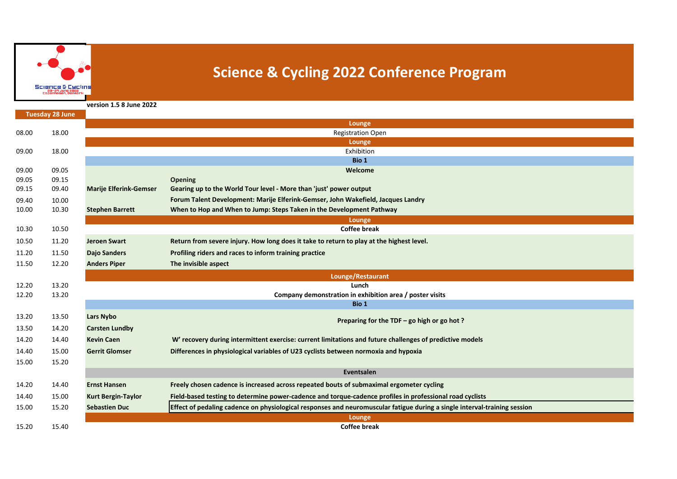

## **Science & Cycling 2022 Conference Program**

**version 1.5 8 June 2022**

|       | <b>Tuesday 28 June</b> |                               |                                                                                                                           |
|-------|------------------------|-------------------------------|---------------------------------------------------------------------------------------------------------------------------|
|       |                        |                               | Lounge                                                                                                                    |
| 08.00 | 18.00                  |                               | <b>Registration Open</b>                                                                                                  |
|       |                        |                               | Lounge                                                                                                                    |
| 09.00 | 18.00                  |                               | Exhibition                                                                                                                |
|       |                        |                               | Bio 1                                                                                                                     |
| 09.00 | 09.05                  |                               | Welcome                                                                                                                   |
| 09.05 | 09.15                  |                               | <b>Opening</b>                                                                                                            |
| 09.15 | 09.40                  | <b>Marije Elferink-Gemser</b> | Gearing up to the World Tour level - More than 'just' power output                                                        |
| 09.40 | 10.00                  |                               | Forum Talent Development: Marije Elferink-Gemser, John Wakefield, Jacques Landry                                          |
| 10.00 | 10.30                  | <b>Stephen Barrett</b>        | When to Hop and When to Jump: Steps Taken in the Development Pathway                                                      |
|       |                        |                               | Lounge                                                                                                                    |
| 10.30 | 10.50                  |                               | <b>Coffee break</b>                                                                                                       |
| 10.50 | 11.20                  | <b>Jeroen Swart</b>           | Return from severe injury. How long does it take to return to play at the highest level.                                  |
| 11.20 | 11.50                  | <b>Dajo Sanders</b>           | Profiling riders and races to inform training practice                                                                    |
| 11.50 | 12.20                  | <b>Anders Piper</b>           | The invisible aspect                                                                                                      |
|       |                        |                               | Lounge/Restaurant                                                                                                         |
| 12.20 | 13.20                  |                               | Lunch                                                                                                                     |
| 12.20 | 13.20                  |                               | Company demonstration in exhibition area / poster visits                                                                  |
|       |                        |                               | Bio 1                                                                                                                     |
| 13.20 | 13.50                  | Lars Nybo                     | Preparing for the TDF - go high or go hot?                                                                                |
| 13.50 | 14.20                  | <b>Carsten Lundby</b>         |                                                                                                                           |
| 14.20 | 14.40                  | <b>Kevin Caen</b>             | W' recovery during intermittent exercise: current limitations and future challenges of predictive models                  |
| 14.40 | 15.00                  | <b>Gerrit Glomser</b>         | Differences in physiological variables of U23 cyclists between normoxia and hypoxia                                       |
| 15.00 | 15.20                  |                               |                                                                                                                           |
|       |                        |                               | Eventsalen                                                                                                                |
| 14.20 | 14.40                  | <b>Ernst Hansen</b>           | Freely chosen cadence is increased across repeated bouts of submaximal ergometer cycling                                  |
| 14.40 | 15.00                  | <b>Kurt Bergin-Taylor</b>     | Field-based testing to determine power-cadence and torque-cadence profiles in professional road cyclists                  |
| 15.00 | 15.20                  | <b>Sebastien Duc</b>          | Effect of pedaling cadence on physiological responses and neuromuscular fatigue during a single interval-training session |
|       |                        |                               | Lounge                                                                                                                    |
| 15.20 | 15.40                  |                               | <b>Coffee break</b>                                                                                                       |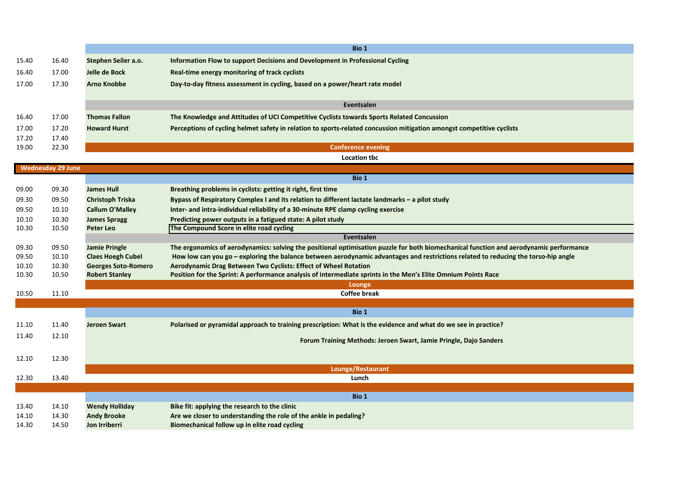|                |                          |                                                     | Bio 1                                                                                                                                                                            |
|----------------|--------------------------|-----------------------------------------------------|----------------------------------------------------------------------------------------------------------------------------------------------------------------------------------|
| 15.40          | 16.40                    | Stephen Seiler a.o.                                 | Information Flow to support Decisions and Development in Professional Cycling                                                                                                    |
| 16.40          | 17.00                    | Jelle de Bock                                       | Real-time energy monitoring of track cyclists                                                                                                                                    |
| 17.00          | 17.30                    | <b>Arno Knobbe</b>                                  | Day-to-day fitness assessment in cycling, based on a power/heart rate model                                                                                                      |
|                |                          |                                                     |                                                                                                                                                                                  |
|                |                          |                                                     | Eventsalen                                                                                                                                                                       |
| 16.40          | 17.00                    | <b>Thomas Fallon</b>                                | The Knowledge and Attitudes of UCI Competitive Cyclists towards Sports Related Concussion                                                                                        |
| 17.00          | 17.20                    | <b>Howard Hurst</b>                                 | Perceptions of cycling helmet safety in relation to sports-related concussion mitigation amongst competitive cyclists                                                            |
| 17.20          | 17.40                    |                                                     |                                                                                                                                                                                  |
| 19.00          | 22.30                    |                                                     | <b>Conference evening</b>                                                                                                                                                        |
|                |                          |                                                     | <b>Location tbc</b>                                                                                                                                                              |
|                | <b>Wednesday 29 June</b> |                                                     | Bio 1                                                                                                                                                                            |
| 09.00          | 09.30                    | <b>James Hull</b>                                   | Breathing problems in cyclists: getting it right, first time                                                                                                                     |
| 09.30          | 09.50                    | <b>Christoph Triska</b>                             | Bypass of Respiratory Complex I and its relation to different lactate landmarks - a pilot study                                                                                  |
| 09.50          | 10.10                    | <b>Callum O'Malley</b>                              | Inter- and intra-individual reliability of a 30-minute RPE clamp cycling exercise                                                                                                |
| 10.10          | 10.30                    | <b>James Spragg</b>                                 | Predicting power outputs in a fatigued state: A pilot study                                                                                                                      |
| 10.30          | 10.50                    | <b>Peter Leo</b>                                    | The Compound Score in elite road cycling                                                                                                                                         |
|                |                          |                                                     | Eventsalen                                                                                                                                                                       |
| 09.30          | 09.50                    | <b>Jamie Pringle</b>                                | The ergonomics of aerodynamics: solving the positional optimisation puzzle for both biomechanical function and aerodynamic performance                                           |
| 09.50          | 10.10                    | <b>Claes Hoegh Cubel</b>                            | How low can you go - exploring the balance between aerodynamic advantages and restrictions related to reducing the torso-hip angle                                               |
| 10.10<br>10.30 | 10.30<br>10.50           | <b>Georges Soto-Romero</b><br><b>Robert Stanley</b> | Aerodynamic Drag Between Two Cyclists: Effect of Wheel Rotation<br>Position for the Sprint: A performance analysis of intermediate sprints in the Men's Elite Omnium Points Race |
|                |                          |                                                     | Lounge                                                                                                                                                                           |
| 10.50          | 11.10                    |                                                     | <b>Coffee break</b>                                                                                                                                                              |
|                |                          |                                                     |                                                                                                                                                                                  |
|                |                          |                                                     | Bio 1                                                                                                                                                                            |
| 11.10          | 11.40                    | <b>Jeroen Swart</b>                                 | Polarised or pyramidal approach to training prescription: What is the evidence and what do we see in practice?                                                                   |
| 11.40          | 12.10                    |                                                     | Forum Training Methods: Jeroen Swart, Jamie Pringle, Dajo Sanders                                                                                                                |
|                |                          |                                                     |                                                                                                                                                                                  |
| 12.10          | 12.30                    |                                                     |                                                                                                                                                                                  |
|                |                          |                                                     | Lounge/Restaurant                                                                                                                                                                |
| 12.30          | 13.40                    |                                                     | Lunch                                                                                                                                                                            |
|                |                          |                                                     | Bio 1                                                                                                                                                                            |
| 13.40          | 14.10                    | <b>Wendy Holliday</b>                               | Bike fit: applying the research to the clinic                                                                                                                                    |
| 14.10          | 14.30                    | <b>Andy Brooke</b>                                  | Are we closer to understanding the role of the ankle in pedaling?                                                                                                                |
| 14.30          | 14.50                    | Jon Irriberri                                       | Biomechanical follow up in elite road cycling                                                                                                                                    |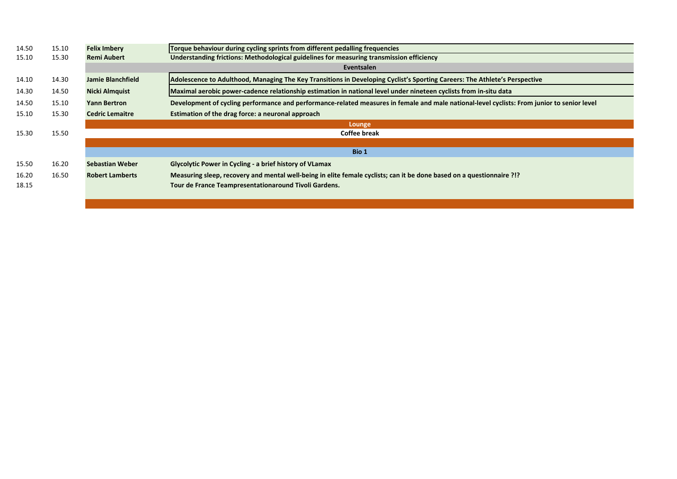| 14.50 | 15.10 | <b>Felix Imbery</b>    | Torque behaviour during cycling sprints from different pedalling frequencies                                                                |
|-------|-------|------------------------|---------------------------------------------------------------------------------------------------------------------------------------------|
| 15.10 | 15.30 | <b>Remi Aubert</b>     | Understanding frictions: Methodological guidelines for measuring transmission efficiency                                                    |
|       |       |                        | Eventsalen                                                                                                                                  |
| 14.10 | 14.30 | Jamie Blanchfield      | Adolescence to Adulthood, Managing The Key Transitions in Developing Cyclist's Sporting Careers: The Athlete's Perspective                  |
| 14.30 | 14.50 | <b>Nicki Almquist</b>  | Maximal aerobic power-cadence relationship estimation in national level under nineteen cyclists from in-situ data                           |
| 14.50 | 15.10 | <b>Yann Bertron</b>    | Development of cycling performance and performance-related measures in female and male national-level cyclists: From junior to senior level |
| 15.10 | 15.30 | <b>Cedric Lemaitre</b> | Estimation of the drag force: a neuronal approach                                                                                           |
|       |       |                        | Lounge                                                                                                                                      |
| 15.30 | 15.50 |                        | <b>Coffee break</b>                                                                                                                         |
|       |       |                        |                                                                                                                                             |
|       |       |                        | Bio 1                                                                                                                                       |
| 15.50 | 16.20 | Sebastian Weber        | <b>Glycolytic Power in Cycling - a brief history of VLamax</b>                                                                              |
| 16.20 | 16.50 | <b>Robert Lamberts</b> | Measuring sleep, recovery and mental well-being in elite female cyclists; can it be done based on a questionnaire ?!?                       |
| 18.15 |       |                        | Tour de France Teampresentationaround Tivoli Gardens.                                                                                       |
|       |       |                        |                                                                                                                                             |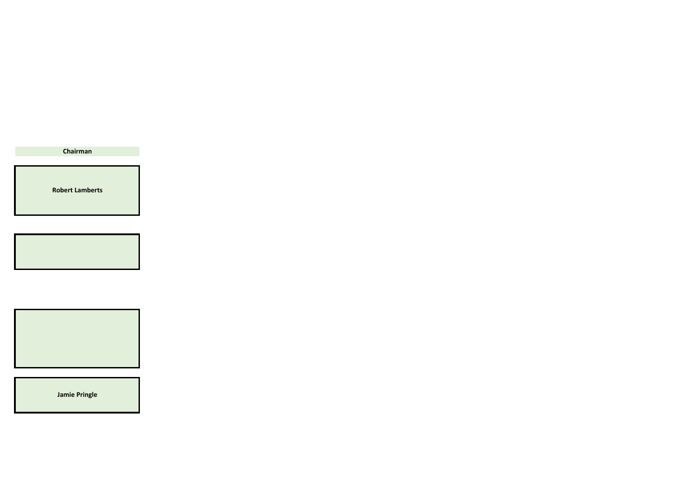**Chairman**

**Robert Lamberts**



**Jamie Pringle**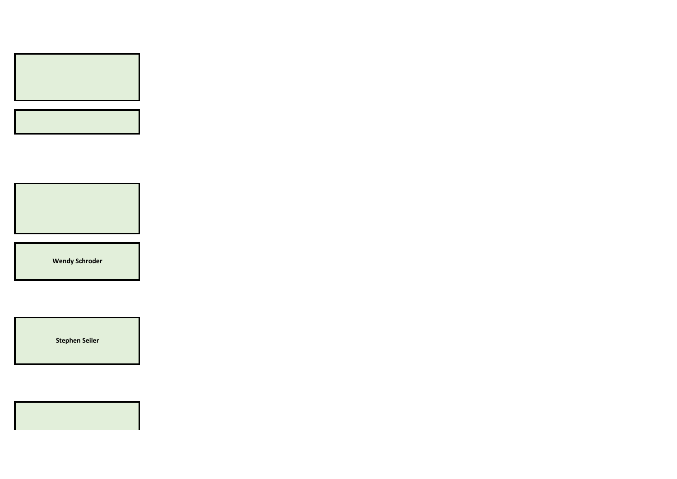





**Wendy Schroder**

**Stephen Seiler**